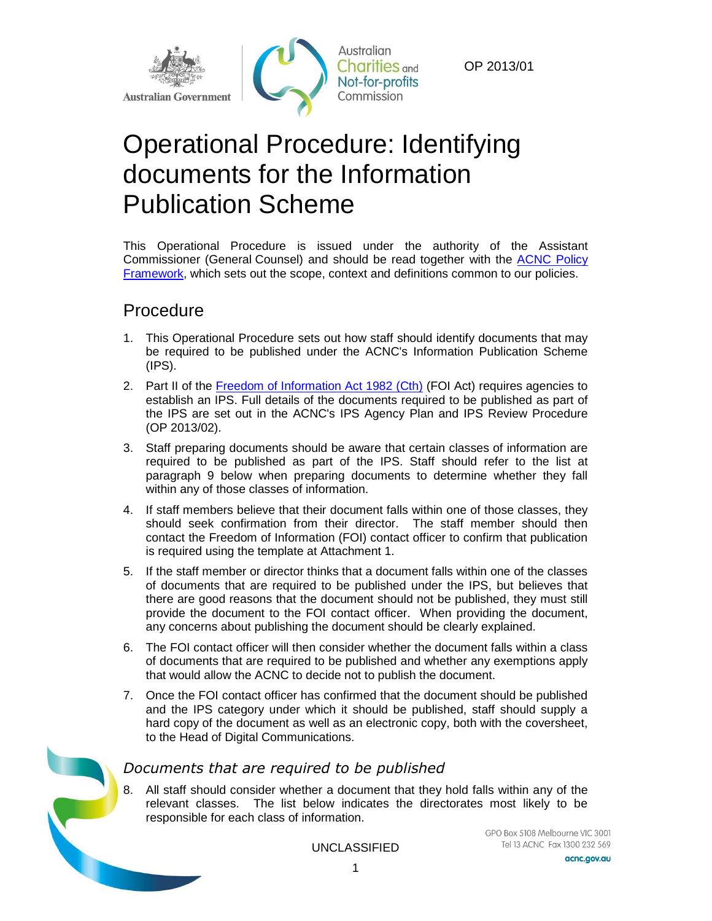

OP 2013/01

# Operational Procedure: Identifying documents for the Information Publication Scheme

This Operational Procedure is issued under the authority of the Assistant Commissioner (General Counsel) and should be read together with the [ACNC Policy](http://www.acnc.gov.au/ACNC/Publications/Policy_PDFs/Pol_Framework.aspx)  [Framework,](http://www.acnc.gov.au/ACNC/Publications/Policy_PDFs/Pol_Framework.aspx) which sets out the scope, context and definitions common to our policies.

## Procedure

- 1. This Operational Procedure sets out how staff should identify documents that may be required to be published under the ACNC's Information Publication Scheme (IPS).
- 2. Part II of the [Freedom of Information Act 1982 \(Cth\)](http://www.comlaw.gov.au/Details/C2013C00242) (FOI Act) requires agencies to establish an IPS. Full details of the documents required to be published as part of the IPS are set out in the ACNC's IPS Agency Plan and IPS Review Procedure (OP 2013/02).
- 3. Staff preparing documents should be aware that certain classes of information are required to be published as part of the IPS. Staff should refer to the list at paragraph 9 below when preparing documents to determine whether they fall within any of those classes of information.
- 4. If staff members believe that their document falls within one of those classes, they should seek confirmation from their director. The staff member should then contact the Freedom of Information (FOI) contact officer to confirm that publication is required using the template at Attachment 1.
- 5. If the staff member or director thinks that a document falls within one of the classes of documents that are required to be published under the IPS, but believes that there are good reasons that the document should not be published, they must still provide the document to the FOI contact officer. When providing the document, any concerns about publishing the document should be clearly explained.
- 6. The FOI contact officer will then consider whether the document falls within a class of documents that are required to be published and whether any exemptions apply that would allow the ACNC to decide not to publish the document.
- 7. Once the FOI contact officer has confirmed that the document should be published and the IPS category under which it should be published, staff should supply a hard copy of the document as well as an electronic copy, both with the coversheet, to the Head of Digital Communications.

### *Documents that are required to be published*

8. All staff should consider whether a document that they hold falls within any of the relevant classes. The list below indicates the directorates most likely to be responsible for each class of information.

UNCLASSIFIED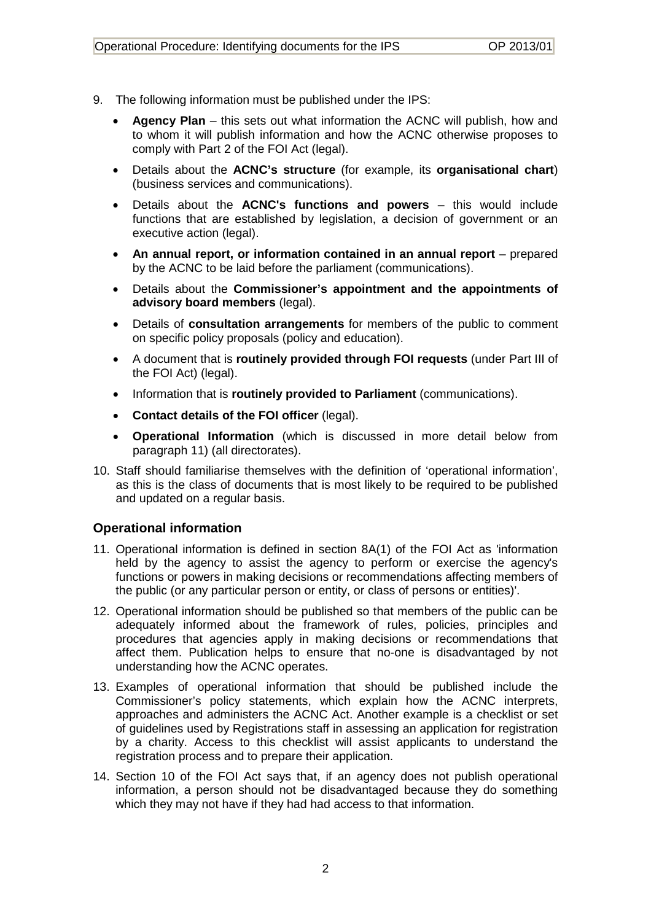- 9. The following information must be published under the IPS:
	- **Agency Plan** this sets out what information the ACNC will publish, how and to whom it will publish information and how the ACNC otherwise proposes to comply with Part 2 of the FOI Act (legal).
	- Details about the **ACNC's structure** (for example, its **organisational chart**) (business services and communications).
	- Details about the **ACNC's functions and powers** this would include functions that are established by legislation, a decision of government or an executive action (legal).
	- An annual report, or information contained in an annual report prepared by the ACNC to be laid before the parliament (communications).
	- Details about the **Commissioner's appointment and the appointments of advisory board members** (legal).
	- Details of **consultation arrangements** for members of the public to comment on specific policy proposals (policy and education).
	- A document that is **routinely provided through FOI requests** (under Part III of the FOI Act) (legal).
	- Information that is **routinely provided to Parliament** (communications).
	- **Contact details of the FOI officer** (legal).
	- **Operational Information** (which is discussed in more detail below from paragraph [11\)](#page-1-0) (all directorates).
- 10. Staff should familiarise themselves with the definition of 'operational information', as this is the class of documents that is most likely to be required to be published and updated on a regular basis.

#### **Operational information**

- <span id="page-1-0"></span>11. Operational information is defined in section 8A(1) of the FOI Act as 'information held by the agency to assist the agency to perform or exercise the agency's functions or powers in making decisions or recommendations affecting members of the public (or any particular person or entity, or class of persons or entities)'.
- 12. Operational information should be published so that members of the public can be adequately informed about the framework of rules, policies, principles and procedures that agencies apply in making decisions or recommendations that affect them. Publication helps to ensure that no-one is disadvantaged by not understanding how the ACNC operates.
- 13. Examples of operational information that should be published include the Commissioner's policy statements, which explain how the ACNC interprets, approaches and administers the ACNC Act. Another example is a checklist or set of guidelines used by Registrations staff in assessing an application for registration by a charity. Access to this checklist will assist applicants to understand the registration process and to prepare their application.
- 14. Section 10 of the FOI Act says that, if an agency does not publish operational information, a person should not be disadvantaged because they do something which they may not have if they had had access to that information.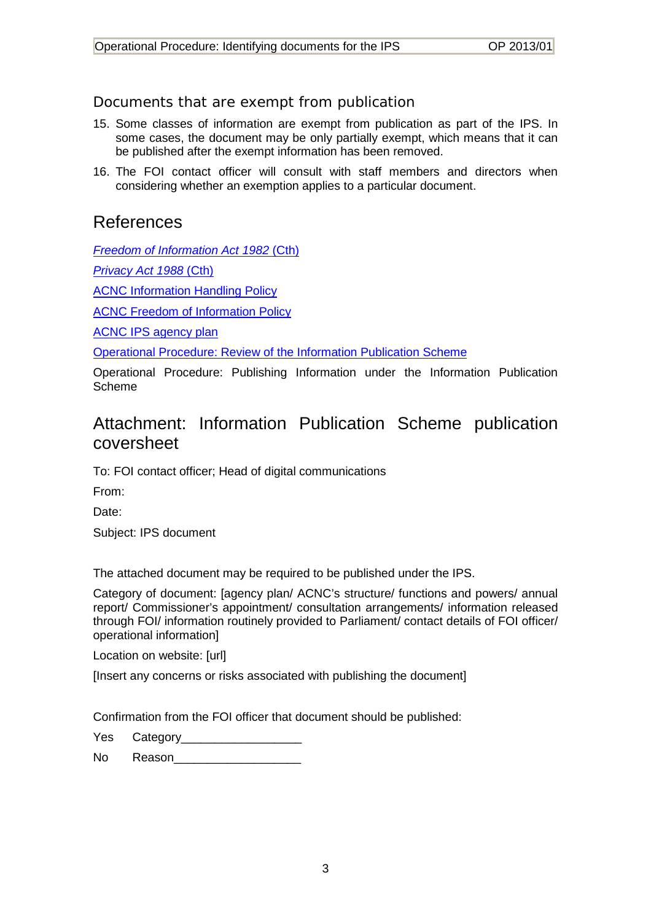## *Documents that are exempt from publication*

- 15. Some classes of information are exempt from publication as part of the IPS. In some cases, the document may be only partially exempt, which means that it can be published after the exempt information has been removed.
- 16. The FOI contact officer will consult with staff members and directors when considering whether an exemption applies to a particular document.

## References

*[Freedom of Information Act 1982](http://www.comlaw.gov.au/Details/C2013C00242)* (Cth)

*[Privacy Act 1988](http://www.comlaw.gov.au/Details/C2013C00231)* (Cth)

**[ACNC Information Handling Policy](http://www.acnc.gov.au/ACNC/Publications/Policy_PDFs/CorpPol_InfoHandle.aspx)** 

[ACNC Freedom of Information Policy](http://www.acnc.gov.au/ACNC/Publications/Policy_PDFs/Pol_FOI.aspx)

[ACNC IPS agency plan](http://www.acnc.gov.au/ACNC/About_ACNC/Freedom_of_info/Agency_plan/ACNC/Legal/IPS_plan.aspx?hkey=14026462-5371-4a53-9fa1-ca47dd246f3a)

[Operational Procedure: Review of the Information Publication Scheme](http://www.acnc.gov.au/ACNC/Publications/Procedure_PDFs/OP_IDP.aspx)

Operational Procedure: Publishing Information under the Information Publication Scheme

# Attachment: Information Publication Scheme publication coversheet

To: FOI contact officer; Head of digital communications

From:

Date:

Subject: IPS document

The attached document may be required to be published under the IPS.

Category of document: [agency plan/ ACNC's structure/ functions and powers/ annual report/ Commissioner's appointment/ consultation arrangements/ information released through FOI/ information routinely provided to Parliament/ contact details of FOI officer/ operational information]

Location on website: [url]

[Insert any concerns or risks associated with publishing the document]

Confirmation from the FOI officer that document should be published:

Yes Category

No Reason